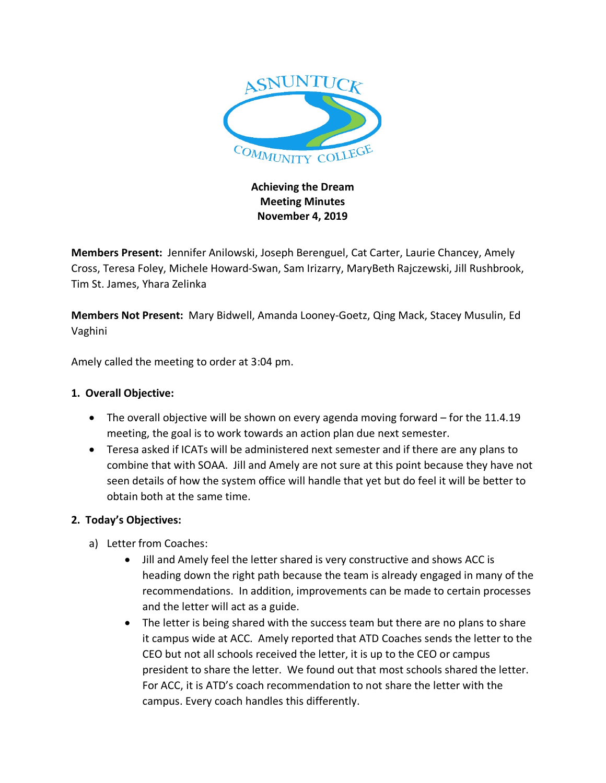

# **Achieving the Dream Meeting Minutes November 4, 2019**

**Members Present:** Jennifer Anilowski, Joseph Berenguel, Cat Carter, Laurie Chancey, Amely Cross, Teresa Foley, Michele Howard-Swan, Sam Irizarry, MaryBeth Rajczewski, Jill Rushbrook, Tim St. James, Yhara Zelinka

**Members Not Present:** Mary Bidwell, Amanda Looney-Goetz, Qing Mack, Stacey Musulin, Ed Vaghini

Amely called the meeting to order at 3:04 pm.

### **1. Overall Objective:**

- The overall objective will be shown on every agenda moving forward for the 11.4.19 meeting, the goal is to work towards an action plan due next semester.
- Teresa asked if ICATs will be administered next semester and if there are any plans to combine that with SOAA. Jill and Amely are not sure at this point because they have not seen details of how the system office will handle that yet but do feel it will be better to obtain both at the same time.

#### **2. Today's Objectives:**

- a) Letter from Coaches:
	- Jill and Amely feel the letter shared is very constructive and shows ACC is heading down the right path because the team is already engaged in many of the recommendations. In addition, improvements can be made to certain processes and the letter will act as a guide.
	- The letter is being shared with the success team but there are no plans to share it campus wide at ACC. Amely reported that ATD Coaches sends the letter to the CEO but not all schools received the letter, it is up to the CEO or campus president to share the letter. We found out that most schools shared the letter. For ACC, it is ATD's coach recommendation to not share the letter with the campus. Every coach handles this differently.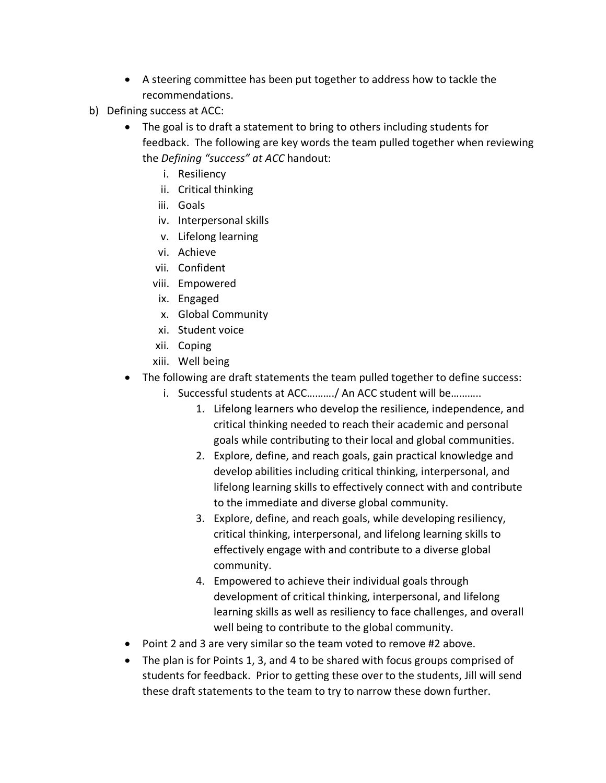- A steering committee has been put together to address how to tackle the recommendations.
- b) Defining success at ACC:
	- The goal is to draft a statement to bring to others including students for feedback. The following are key words the team pulled together when reviewing the *Defining "success" at ACC* handout:
		- i. Resiliency
		- ii. Critical thinking
		- iii. Goals
		- iv. Interpersonal skills
		- v. Lifelong learning
		- vi. Achieve
		- vii. Confident
		- viii. Empowered
		- ix. Engaged
		- x. Global Community
		- xi. Student voice
		- xii. Coping
		- xiii. Well being
	- The following are draft statements the team pulled together to define success:
		- i. Successful students at ACC………./ An ACC student will be………..
			- 1. Lifelong learners who develop the resilience, independence, and critical thinking needed to reach their academic and personal goals while contributing to their local and global communities.
			- 2. Explore, define, and reach goals, gain practical knowledge and develop abilities including critical thinking, interpersonal, and lifelong learning skills to effectively connect with and contribute to the immediate and diverse global community.
			- 3. Explore, define, and reach goals, while developing resiliency, critical thinking, interpersonal, and lifelong learning skills to effectively engage with and contribute to a diverse global community.
			- 4. Empowered to achieve their individual goals through development of critical thinking, interpersonal, and lifelong learning skills as well as resiliency to face challenges, and overall well being to contribute to the global community.
	- Point 2 and 3 are very similar so the team voted to remove #2 above.
	- The plan is for Points 1, 3, and 4 to be shared with focus groups comprised of students for feedback. Prior to getting these over to the students, Jill will send these draft statements to the team to try to narrow these down further.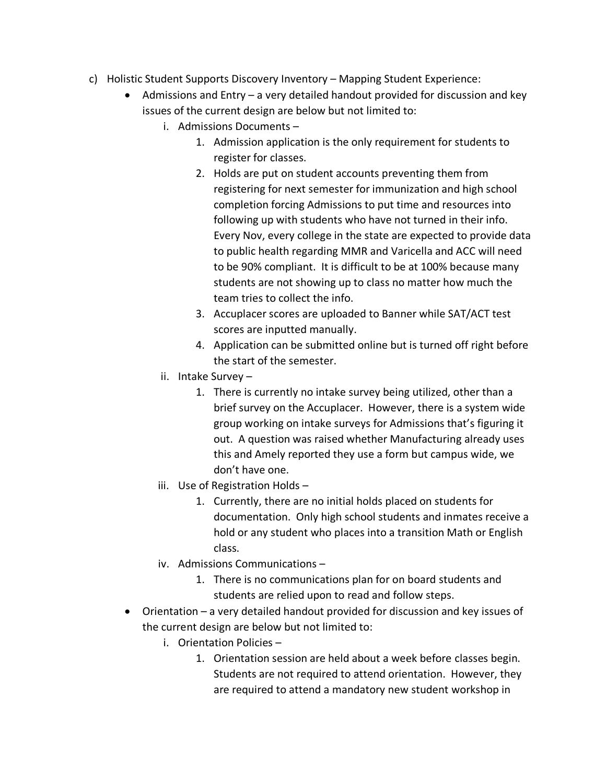- c) Holistic Student Supports Discovery Inventory Mapping Student Experience:
	- Admissions and Entry a very detailed handout provided for discussion and key issues of the current design are below but not limited to:
		- i. Admissions Documents
			- 1. Admission application is the only requirement for students to register for classes.
			- 2. Holds are put on student accounts preventing them from registering for next semester for immunization and high school completion forcing Admissions to put time and resources into following up with students who have not turned in their info. Every Nov, every college in the state are expected to provide data to public health regarding MMR and Varicella and ACC will need to be 90% compliant. It is difficult to be at 100% because many students are not showing up to class no matter how much the team tries to collect the info.
			- 3. Accuplacer scores are uploaded to Banner while SAT/ACT test scores are inputted manually.
			- 4. Application can be submitted online but is turned off right before the start of the semester.
		- ii. Intake Survey
			- 1. There is currently no intake survey being utilized, other than a brief survey on the Accuplacer. However, there is a system wide group working on intake surveys for Admissions that's figuring it out. A question was raised whether Manufacturing already uses this and Amely reported they use a form but campus wide, we don't have one.
		- iii. Use of Registration Holds
			- 1. Currently, there are no initial holds placed on students for documentation. Only high school students and inmates receive a hold or any student who places into a transition Math or English class.
		- iv. Admissions Communications
			- 1. There is no communications plan for on board students and students are relied upon to read and follow steps.
	- Orientation a very detailed handout provided for discussion and key issues of the current design are below but not limited to:
		- i. Orientation Policies
			- 1. Orientation session are held about a week before classes begin. Students are not required to attend orientation. However, they are required to attend a mandatory new student workshop in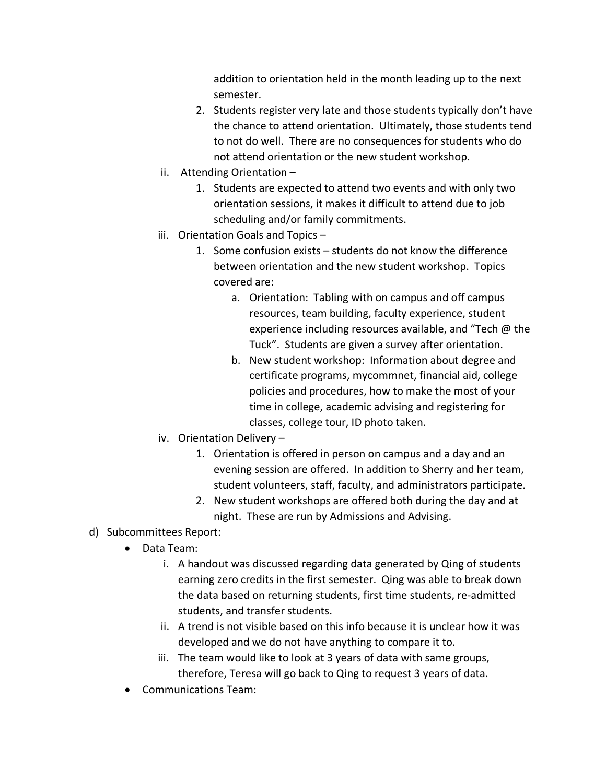addition to orientation held in the month leading up to the next semester.

- 2. Students register very late and those students typically don't have the chance to attend orientation. Ultimately, those students tend to not do well. There are no consequences for students who do not attend orientation or the new student workshop.
- ii. Attending Orientation
	- 1. Students are expected to attend two events and with only two orientation sessions, it makes it difficult to attend due to job scheduling and/or family commitments.
- iii. Orientation Goals and Topics
	- 1. Some confusion exists students do not know the difference between orientation and the new student workshop. Topics covered are:
		- a. Orientation: Tabling with on campus and off campus resources, team building, faculty experience, student experience including resources available, and "Tech @ the Tuck". Students are given a survey after orientation.
		- b. New student workshop: Information about degree and certificate programs, mycommnet, financial aid, college policies and procedures, how to make the most of your time in college, academic advising and registering for classes, college tour, ID photo taken.
- iv. Orientation Delivery
	- 1. Orientation is offered in person on campus and a day and an evening session are offered. In addition to Sherry and her team, student volunteers, staff, faculty, and administrators participate.
	- 2. New student workshops are offered both during the day and at night. These are run by Admissions and Advising.

#### d) Subcommittees Report:

- Data Team:
	- i. A handout was discussed regarding data generated by Qing of students earning zero credits in the first semester. Qing was able to break down the data based on returning students, first time students, re-admitted students, and transfer students.
	- ii. A trend is not visible based on this info because it is unclear how it was developed and we do not have anything to compare it to.
	- iii. The team would like to look at 3 years of data with same groups, therefore, Teresa will go back to Qing to request 3 years of data.
- Communications Team: